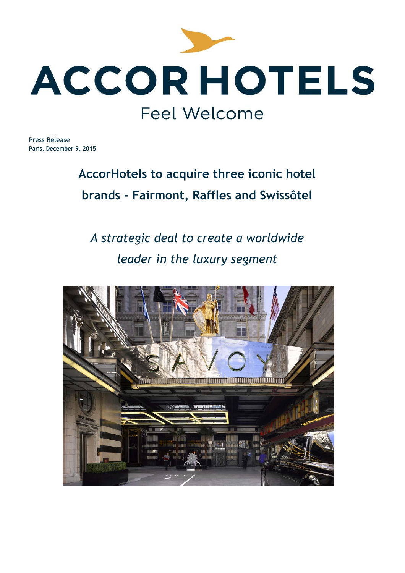

Press Release **Paris, December 9, 2015**

# **AccorHotels to acquire three iconic hotel brands - Fairmont, Raffles and Swissôtel**

# *A strategic deal to create a worldwide leader in the luxury segment*

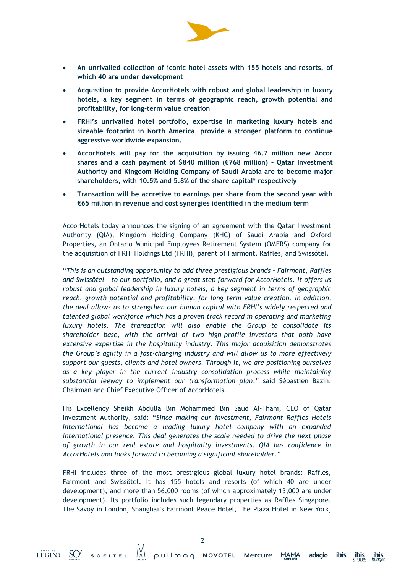

- **An unrivalled collection of iconic hotel assets with 155 hotels and resorts, of which 40 are under development**
- **Acquisition to provide AccorHotels with robust and global leadership in luxury hotels, a key segment in terms of geographic reach, growth potential and profitability, for long-term value creation**
- **FRHI's unrivalled hotel portfolio, expertise in marketing luxury hotels and sizeable footprint in North America, provide a stronger platform to continue aggressive worldwide expansion.**
- **AccorHotels will pay for the acquisition by issuing 46.7 million new Accor shares and a cash payment of \$840 million (€768 million) – Qatar Investment Authority and Kingdom Holding Company of Saudi Arabia are to become major shareholders, with 10.5% and 5.8% of the share capital\* respectively**
- **Transaction will be accretive to earnings per share from the second year with €65 million in revenue and cost synergies identified in the medium term**

AccorHotels today announces the signing of an agreement with the Qatar Investment Authority (QIA), Kingdom Holding Company (KHC) of Saudi Arabia and Oxford Properties, an Ontario Municipal Employees Retirement System (OMERS) company for the acquisition of FRHI Holdings Ltd (FRHI), parent of Fairmont, Raffles, and Swissôtel.

"*This is an outstanding opportunity to add three prestigious brands – Fairmont, Raffles and Swissôtel – to our portfolio, and a great step forward for AccorHotels. It offers us robust and global leadership in luxury hotels, a key segment in terms of geographic reach, growth potential and profitability, for long term value creation. In addition, the deal allows us to strengthen our human capital with FRHI's widely respected and talented global workforce which has a proven track record in operating and marketing luxury hotels. The transaction will also enable the Group to consolidate its shareholder base, with the arrival of two high-profile investors that both have extensive expertise in the hospitality industry. This major acquisition demonstrates the Group's agility in a fast-changing industry and will allow us to more effectively support our guests, clients and hotel owners. Through it, we are positioning ourselves as a key player in the current industry consolidation process while maintaining substantial leeway to implement our transformation plan*," said Sébastien Bazin, Chairman and Chief Executive Officer of AccorHotels.

His Excellency Sheikh Abdulla Bin Mohammed Bin Saud Al-Thani, CEO of Qatar Investment Authority, said: "*Since making our investment, Fairmont Raffles Hotels International has become a leading luxury hotel company with an expanded international presence. This deal generates the scale needed to drive the next phase of growth in our real estate and hospitality investments. QIA has confidence in AccorHotels and looks forward to becoming a significant shareholder*."

FRHI includes three of the most prestigious global luxury hotel brands: Raffles, Fairmont and Swissôtel. It has 155 hotels and resorts (of which 40 are under development), and more than 56,000 rooms (of which approximately 13,000 are under development). Its portfolio includes such legendary properties as Raffles Singapore, The Savoy in London, Shanghai's Fairmont Peace Hotel, The Plaza Hotel in New York,

*ibis*<br>budget

**ibis**<br>STYLES

ibis

adagio

**MAMA**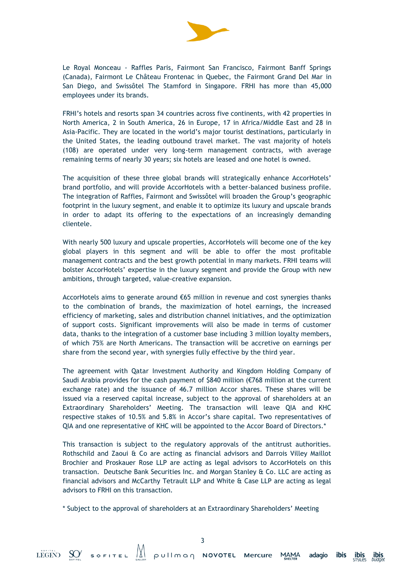

Le Royal Monceau - Raffles Paris, Fairmont San Francisco, Fairmont Banff Springs (Canada), Fairmont Le Château Frontenac in Quebec, the Fairmont Grand Del Mar in San Diego, and Swissôtel The Stamford in Singapore. FRHI has more than 45,000 employees under its brands.

FRHI's hotels and resorts span 34 countries across five continents, with 42 properties in North America, 2 in South America, 26 in Europe, 17 in Africa/Middle East and 28 in Asia-Pacific. They are located in the world's major tourist destinations, particularly in the United States, the leading outbound travel market. The vast majority of hotels (108) are operated under very long-term management contracts, with average remaining terms of nearly 30 years; six hotels are leased and one hotel is owned.

The acquisition of these three global brands will strategically enhance AccorHotels' brand portfolio, and will provide AccorHotels with a better-balanced business profile. The integration of Raffles, Fairmont and Swissôtel will broaden the Group's geographic footprint in the luxury segment, and enable it to optimize its luxury and upscale brands in order to adapt its offering to the expectations of an increasingly demanding clientele.

With nearly 500 luxury and upscale properties, AccorHotels will become one of the key global players in this segment and will be able to offer the most profitable management contracts and the best growth potential in many markets. FRHI teams will bolster AccorHotels' expertise in the luxury segment and provide the Group with new ambitions, through targeted, value-creative expansion.

AccorHotels aims to generate around €65 million in revenue and cost synergies thanks to the combination of brands, the maximization of hotel earnings, the increased efficiency of marketing, sales and distribution channel initiatives, and the optimization of support costs. Significant improvements will also be made in terms of customer data, thanks to the integration of a customer base including 3 million loyalty members, of which 75% are North Americans. The transaction will be accretive on earnings per share from the second year, with synergies fully effective by the third year.

The agreement with Qatar Investment Authority and Kingdom Holding Company of Saudi Arabia provides for the cash payment of \$840 million (€768 million at the current exchange rate) and the issuance of 46.7 million Accor shares. These shares will be issued via a reserved capital increase, subject to the approval of shareholders at an Extraordinary Shareholders' Meeting. The transaction will leave QIA and KHC respective stakes of 10.5% and 5.8% in Accor's share capital. Two representatives of QIA and one representative of KHC will be appointed to the Accor Board of Directors.\*

This transaction is subject to the regulatory approvals of the antitrust authorities. Rothschild and Zaoui & Co are acting as financial advisors and Darrois Villey Maillot Brochier and Proskauer Rose LLP are acting as legal advisors to AccorHotels on this transaction. Deutsche Bank Securities Inc. and Morgan Stanley & Co. LLC are acting as financial advisors and McCarthy Tetrault LLP and White & Case LLP are acting as legal advisors to FRHI on this transaction.

\* Subject to the approval of shareholders at an Extraordinary Shareholders' Meeting

**MAMA** 

ibis

<u>ibis</u>

ibis

adagio